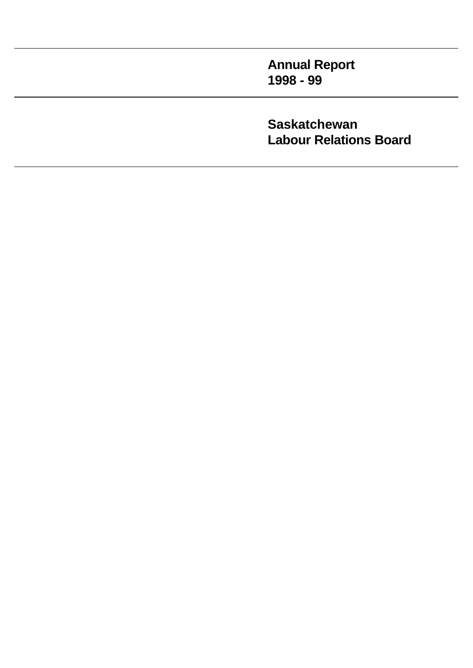**Annual Report 1998 - 99**

**Saskatchewan Labour Relations Board**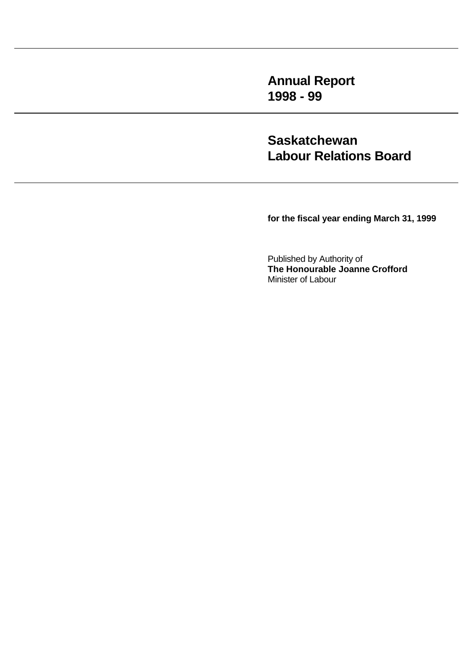**Annual Report 1998 - 99**

**Saskatchewan Labour Relations Board**

**for the fiscal year ending March 31, 1999**

Published by Authority of **The Honourable Joanne Crofford** Minister of Labour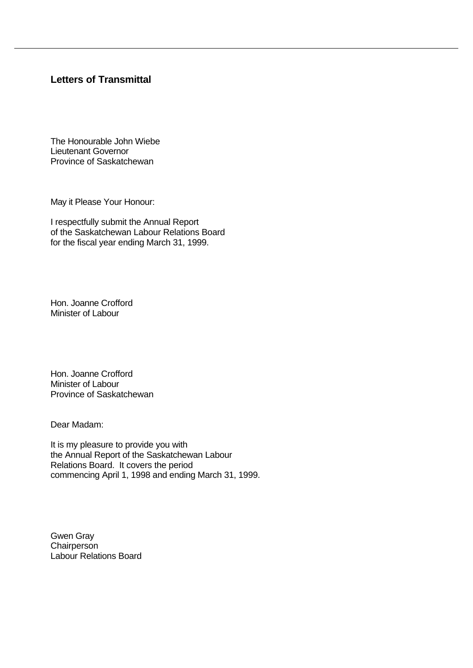# **Letters of Transmittal**

The Honourable John Wiebe Lieutenant Governor Province of Saskatchewan

May it Please Your Honour:

I respectfully submit the Annual Report of the Saskatchewan Labour Relations Board for the fiscal year ending March 31, 1999.

Hon. Joanne Crofford Minister of Labour

Hon. Joanne Crofford Minister of Labour Province of Saskatchewan

Dear Madam:

It is my pleasure to provide you with the Annual Report of the Saskatchewan Labour Relations Board. It covers the period commencing April 1, 1998 and ending March 31, 1999.

Gwen Gray **Chairperson** Labour Relations Board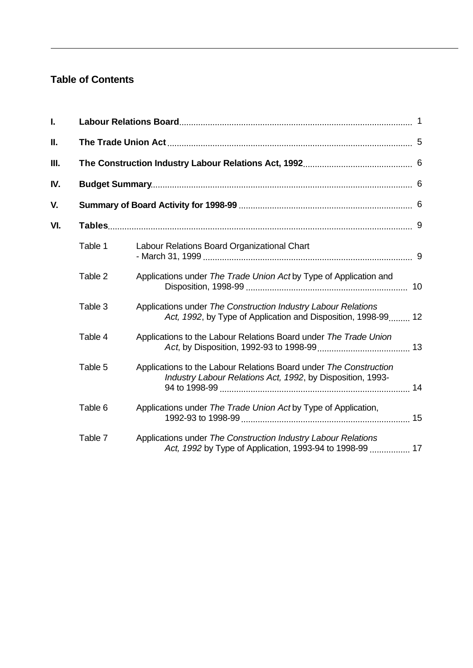# **Table of Contents**

| I.  |         |                                                                                                                                 |  |  |  |  |  |  |  |
|-----|---------|---------------------------------------------------------------------------------------------------------------------------------|--|--|--|--|--|--|--|
| 11. |         |                                                                                                                                 |  |  |  |  |  |  |  |
| Ш.  |         |                                                                                                                                 |  |  |  |  |  |  |  |
| IV. |         |                                                                                                                                 |  |  |  |  |  |  |  |
| V.  |         |                                                                                                                                 |  |  |  |  |  |  |  |
| VI. |         |                                                                                                                                 |  |  |  |  |  |  |  |
|     | Table 1 | Labour Relations Board Organizational Chart                                                                                     |  |  |  |  |  |  |  |
|     | Table 2 | Applications under The Trade Union Act by Type of Application and                                                               |  |  |  |  |  |  |  |
|     | Table 3 | Applications under The Construction Industry Labour Relations<br>Act, 1992, by Type of Application and Disposition, 1998-99 12  |  |  |  |  |  |  |  |
|     | Table 4 | Applications to the Labour Relations Board under The Trade Union                                                                |  |  |  |  |  |  |  |
|     | Table 5 | Applications to the Labour Relations Board under The Construction<br>Industry Labour Relations Act, 1992, by Disposition, 1993- |  |  |  |  |  |  |  |
|     | Table 6 | Applications under The Trade Union Act by Type of Application,                                                                  |  |  |  |  |  |  |  |
|     | Table 7 | Applications under The Construction Industry Labour Relations<br>Act, 1992 by Type of Application, 1993-94 to 1998-99  17       |  |  |  |  |  |  |  |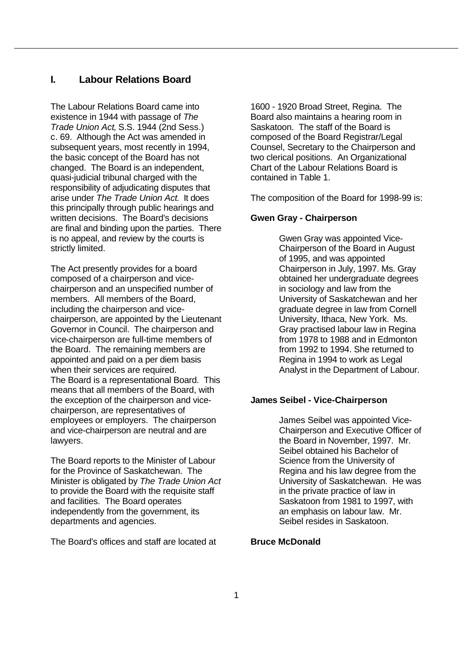# **I. Labour Relations Board**

The Labour Relations Board came into existence in 1944 with passage of *The Trade Union Act*, S.S. 1944 (2nd Sess.) c. 69. Although the Act was amended in subsequent years, most recently in 1994, the basic concept of the Board has not changed. The Board is an independent, quasi-judicial tribunal charged with the responsibility of adjudicating disputes that arise under *The Trade Union Act*. It does this principally through public hearings and written decisions. The Board's decisions are final and binding upon the parties. There is no appeal, and review by the courts is strictly limited.

The Act presently provides for a board composed of a chairperson and vicechairperson and an unspecified number of members. All members of the Board, including the chairperson and vicechairperson, are appointed by the Lieutenant Governor in Council. The chairperson and vice-chairperson are full-time members of the Board. The remaining members are appointed and paid on a per diem basis when their services are required. The Board is a representational Board. This means that all members of the Board, with the exception of the chairperson and vicechairperson, are representatives of employees or employers. The chairperson and vice-chairperson are neutral and are lawyers.

The Board reports to the Minister of Labour for the Province of Saskatchewan. The Minister is obligated by *The Trade Union Act* to provide the Board with the requisite staff and facilities. The Board operates independently from the government, its departments and agencies.

The Board's offices and staff are located at

1600 - 1920 Broad Street, Regina. The Board also maintains a hearing room in Saskatoon. The staff of the Board is composed of the Board Registrar/Legal Counsel, Secretary to the Chairperson and two clerical positions. An Organizational Chart of the Labour Relations Board is contained in Table 1.

The composition of the Board for 1998-99 is:

## **Gwen Gray - Chairperson**

Gwen Gray was appointed Vice-Chairperson of the Board in August of 1995, and was appointed Chairperson in July, 1997. Ms. Gray obtained her undergraduate degrees in sociology and law from the University of Saskatchewan and her graduate degree in law from Cornell University, Ithaca, New York. Ms. Gray practised labour law in Regina from 1978 to 1988 and in Edmonton from 1992 to 1994. She returned to Regina in 1994 to work as Legal Analyst in the Department of Labour.

# **James Seibel - Vice-Chairperson**

James Seibel was appointed Vice-Chairperson and Executive Officer of the Board in November, 1997. Mr. Seibel obtained his Bachelor of Science from the University of Regina and his law degree from the University of Saskatchewan. He was in the private practice of law in Saskatoon from 1981 to 1997, with an emphasis on labour law. Mr. Seibel resides in Saskatoon.

#### **Bruce McDonald**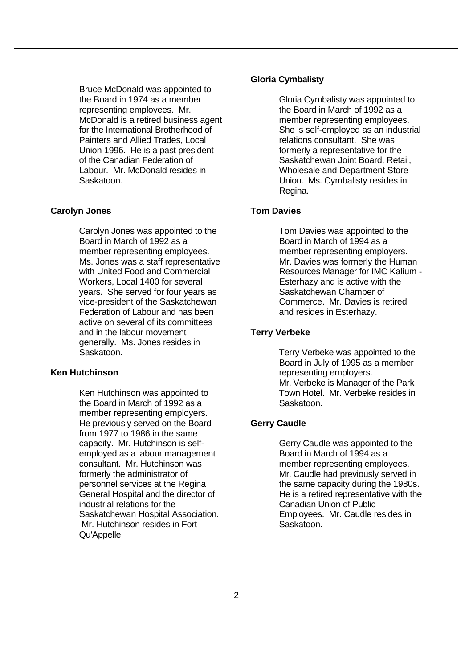Bruce McDonald was appointed to the Board in 1974 as a member representing employees. Mr. McDonald is a retired business agent for the International Brotherhood of Painters and Allied Trades, Local Union 1996. He is a past president of the Canadian Federation of Labour. Mr. McDonald resides in Saskatoon.

#### **Carolyn Jones**

Carolyn Jones was appointed to the Board in March of 1992 as a member representing employees. Ms. Jones was a staff representative with United Food and Commercial Workers, Local 1400 for several years. She served for four years as vice-president of the Saskatchewan Federation of Labour and has been active on several of its committees and in the labour movement generally. Ms. Jones resides in Saskatoon.

## **Ken Hutchinson**

Ken Hutchinson was appointed to the Board in March of 1992 as a member representing employers. He previously served on the Board from 1977 to 1986 in the same capacity. Mr. Hutchinson is selfemployed as a labour management consultant. Mr. Hutchinson was formerly the administrator of personnel services at the Regina General Hospital and the director of industrial relations for the Saskatchewan Hospital Association. Mr. Hutchinson resides in Fort Qu'Appelle.

#### **Gloria Cymbalisty**

Gloria Cymbalisty was appointed to the Board in March of 1992 as a member representing employees. She is self-employed as an industrial relations consultant. She was formerly a representative for the Saskatchewan Joint Board, Retail, Wholesale and Department Store Union. Ms. Cymbalisty resides in Regina.

## **Tom Davies**

Tom Davies was appointed to the Board in March of 1994 as a member representing employers. Mr. Davies was formerly the Human Resources Manager for IMC Kalium - Esterhazy and is active with the Saskatchewan Chamber of Commerce. Mr. Davies is retired and resides in Esterhazy.

## **Terry Verbeke**

Terry Verbeke was appointed to the Board in July of 1995 as a member representing employers. Mr. Verbeke is Manager of the Park Town Hotel. Mr. Verbeke resides in Saskatoon.

#### **Gerry Caudle**

Gerry Caudle was appointed to the Board in March of 1994 as a member representing employees. Mr. Caudle had previously served in the same capacity during the 1980s. He is a retired representative with the Canadian Union of Public Employees. Mr. Caudle resides in Saskatoon.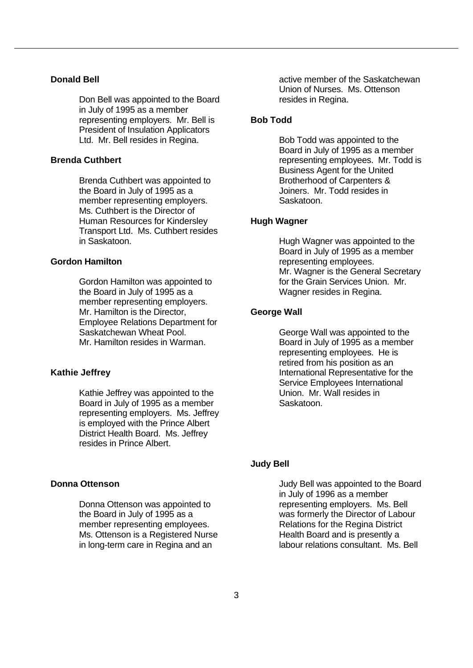#### **Donald Bell**

Don Bell was appointed to the Board in July of 1995 as a member representing employers. Mr. Bell is President of Insulation Applicators Ltd. Mr. Bell resides in Regina.

#### **Brenda Cuthbert**

Brenda Cuthbert was appointed to the Board in July of 1995 as a member representing employers. Ms. Cuthbert is the Director of Human Resources for Kindersley Transport Ltd. Ms. Cuthbert resides in Saskatoon.

#### **Gordon Hamilton**

Gordon Hamilton was appointed to the Board in July of 1995 as a member representing employers. Mr. Hamilton is the Director, Employee Relations Department for Saskatchewan Wheat Pool. Mr. Hamilton resides in Warman.

## **Kathie Jeffrey**

Kathie Jeffrey was appointed to the Board in July of 1995 as a member representing employers. Ms. Jeffrey is employed with the Prince Albert District Health Board. Ms. Jeffrey resides in Prince Albert.

# **Donna Ottenson**

Donna Ottenson was appointed to the Board in July of 1995 as a member representing employees. Ms. Ottenson is a Registered Nurse in long-term care in Regina and an

active member of the Saskatchewan Union of Nurses. Ms. Ottenson resides in Regina.

## **Bob Todd**

Bob Todd was appointed to the Board in July of 1995 as a member representing employees. Mr. Todd is Business Agent for the United Brotherhood of Carpenters & Joiners. Mr. Todd resides in Saskatoon.

## **Hugh Wagner**

Hugh Wagner was appointed to the Board in July of 1995 as a member representing employees. Mr. Wagner is the General Secretary for the Grain Services Union. Mr. Wagner resides in Regina.

#### **George Wall**

George Wall was appointed to the Board in July of 1995 as a member representing employees. He is retired from his position as an International Representative for the Service Employees International Union. Mr. Wall resides in Saskatoon.

#### **Judy Bell**

Judy Bell was appointed to the Board in July of 1996 as a member representing employers. Ms. Bell was formerly the Director of Labour Relations for the Regina District Health Board and is presently a labour relations consultant. Ms. Bell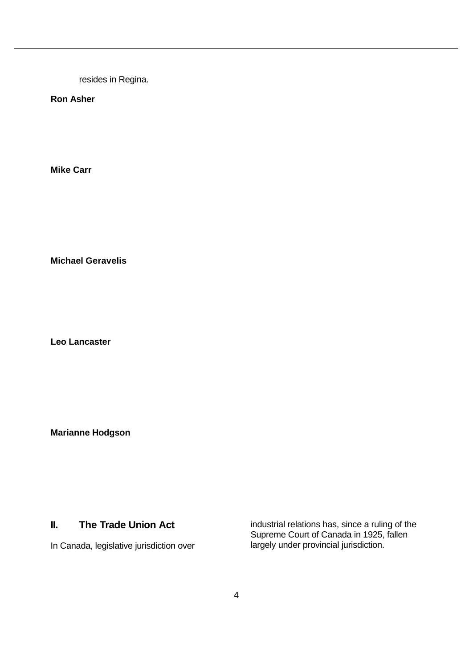resides in Regina.

**Ron Asher**

**Mike Carr**

**Michael Geravelis**

**Leo Lancaster**

**Marianne Hodgson**

## **II. The Trade Union Act**

In Canada, legislative jurisdiction over

industrial relations has, since a ruling of the Supreme Court of Canada in 1925, fallen largely under provincial jurisdiction.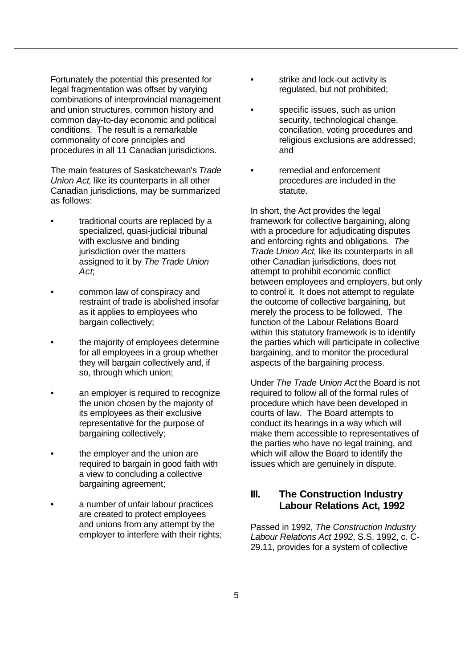Fortunately the potential this presented for legal fragmentation was offset by varying combinations of interprovincial management and union structures, common history and common day-to-day economic and political conditions. The result is a remarkable commonality of core principles and procedures in all 11 Canadian jurisdictions.

The main features of Saskatchewan's *Trade Union Act*, like its counterparts in all other Canadian jurisdictions, may be summarized as follows:

- traditional courts are replaced by a specialized, quasi-judicial tribunal with exclusive and binding jurisdiction over the matters assigned to it by *The Trade Union Act*;
- common law of conspiracy and restraint of trade is abolished insofar as it applies to employees who bargain collectively;
- the majority of employees determine for all employees in a group whether they will bargain collectively and, if so, through which union;
- an employer is required to recognize the union chosen by the majority of its employees as their exclusive representative for the purpose of bargaining collectively;
- the employer and the union are required to bargain in good faith with a view to concluding a collective bargaining agreement;
- a number of unfair labour practices are created to protect employees and unions from any attempt by the employer to interfere with their rights;
- strike and lock-out activity is regulated, but not prohibited;
- specific issues, such as union security, technological change, conciliation, voting procedures and religious exclusions are addressed; and
- remedial and enforcement procedures are included in the statute.

In short, the Act provides the legal framework for collective bargaining, along with a procedure for adjudicating disputes and enforcing rights and obligations. *The Trade Union Act*, like its counterparts in all other Canadian jurisdictions, does not attempt to prohibit economic conflict between employees and employers, but only to control it. It does not attempt to regulate the outcome of collective bargaining, but merely the process to be followed. The function of the Labour Relations Board within this statutory framework is to identify the parties which will participate in collective bargaining, and to monitor the procedural aspects of the bargaining process.

Under *The Trade Union Act* the Board is not required to follow all of the formal rules of procedure which have been developed in courts of law. The Board attempts to conduct its hearings in a way which will make them accessible to representatives of the parties who have no legal training, and which will allow the Board to identify the issues which are genuinely in dispute.

# **III. The Construction Industry Labour Relations Act, 1992**

Passed in 1992, *The Construction Industry Labour Relations Act 1992*, S.S. 1992, c. C-29.11, provides for a system of collective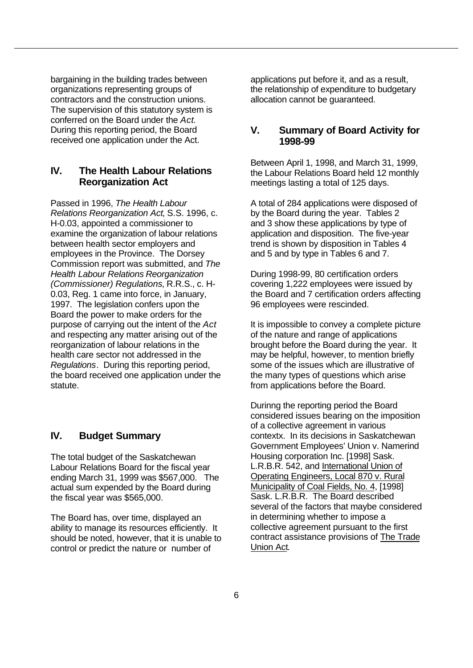bargaining in the building trades between organizations representing groups of contractors and the construction unions. The supervision of this statutory system is conferred on the Board under the *Act*. During this reporting period, the Board received one application under the Act.

# **IV. The Health Labour Relations Reorganization Act**

Passed in 1996, *The Health Labour Relations Reorganization Act*, S.S. 1996, c. H-0.03, appointed a commissioner to examine the organization of labour relations between health sector employers and employees in the Province. The Dorsey Commission report was submitted, and *The Health Labour Relations Reorganization (Commissioner) Regulations,* R.R.S., c. H-0.03, Reg. 1 came into force, in January, 1997. The legislation confers upon the Board the power to make orders for the purpose of carrying out the intent of the *Act* and respecting any matter arising out of the reorganization of labour relations in the health care sector not addressed in the *Regulations*. During this reporting period, the board received one application under the statute.

# **IV. Budget Summary**

The total budget of the Saskatchewan Labour Relations Board for the fiscal year ending March 31, 1999 was \$567,000. The actual sum expended by the Board during the fiscal year was \$565,000.

The Board has, over time, displayed an ability to manage its resources efficiently. It should be noted, however, that it is unable to control or predict the nature or number of

applications put before it, and as a result, the relationship of expenditure to budgetary allocation cannot be guaranteed.

## **V. Summary of Board Activity for 1998-99**

Between April 1, 1998, and March 31, 1999, the Labour Relations Board held 12 monthly meetings lasting a total of 125 days.

A total of 284 applications were disposed of by the Board during the year. Tables 2 and 3 show these applications by type of application and disposition. The five-year trend is shown by disposition in Tables 4 and 5 and by type in Tables 6 and 7.

During 1998-99, 80 certification orders covering 1,222 employees were issued by the Board and 7 certification orders affecting 96 employees were rescinded.

It is impossible to convey a complete picture of the nature and range of applications brought before the Board during the year. It may be helpful, however, to mention briefly some of the issues which are illustrative of the many types of questions which arise from applications before the Board.

Durinng the reporting period the Board considered issues bearing on the imposition of a collective agreement in various contextx. In its decisions in Saskatchewan Government Employees' Union v. Namerind Housing corporation Inc. [1998] Sask. L.R.B.R. 542, and International Union of Operating Engineers, Local 870 v. Rural Municipality of Coal Fields, No. 4, [1998] Sask. L.R.B.R. The Board described several of the factors that maybe considered in determining whether to impose a collective agreement pursuant to the first contract assistance provisions of The Trade Union Act.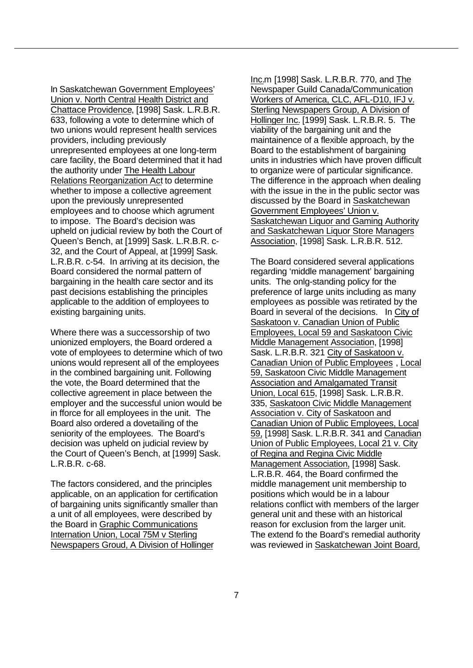In Saskatchewan Government Employees' Union v. North Central Health District and Chattace Providence, [1998] Sask. L.R.B.R. 633, following a vote to determine which of two unions would represent health services providers, including previously unrepresented employees at one long-term care facility, the Board determined that it had the authority under The Health Labour Relations Reorganization Act to determine whether to impose a collective agreement upon the previously unrepresented employees and to choose which agrument to impose. The Board's decision was upheld on judicial review by both the Court of Queen's Bench, at [1999] Sask. L.R.B.R. c-32, and the Court of Appeal, at [1999] Sask. L.R.B.R. c-54. In arriving at its decision, the Board considered the normal pattern of bargaining in the health care sector and its past decisions establishing the principles applicable to the addition of employees to existing bargaining units.

Where there was a successorship of two unionized employers, the Board ordered a vote of employees to determine which of two unions would represent all of the employees in the combined bargaining unit. Following the vote, the Board determined that the collective agreement in place between the employer and the successful union would be in fforce for all employees in the unit. The Board also ordered a dovetailing of the seniority of the employees. The Board's decision was upheld on judicial review by the Court of Queen's Bench, at [1999] Sask. L.R.B.R. c-68.

The factors considered, and the principles applicable, on an application for certification of bargaining units significantly smaller than a unit of all employees, were described by the Board in Graphic Communications Internation Union, Local 75M v Sterling Newspapers Groud, A Division of Hollinger

Inc.m [1998] Sask. L.R.B.R. 770, and The Newspaper Guild Canada/Communication Workers of America, CLC, AFL-D10, IFJ v. Sterling Newspapers Group, A Division of Hollinger Inc. [1999] Sask. L.R.B.R. 5. The viability of the bargaining unit and the maintainence of a flexible approach, by the Board to the establishment of bargaining units in industries which have proven difficult to organize were of particular significance. The difference in the approach when dealing with the issue in the in the public sector was discussed by the Board in Saskatchewan Government Employees' Union v. Saskatchewan Liquor and Gaming Authority and Saskatchewan Liquor Store Managers Association, [1998] Sask. L.R.B.R. 512.

The Board considered several applications regarding 'middle management' bargaining units. The onlg-standing policy for the preference of large units including as many employees as possible was retirated by the Board in several of the decisions. In City of Saskatoon v. Canadian Union of Public Employees, Local 59 and Saskatoon Civic Middle Management Association, [1998] Sask. L.R.B.R. 321 City of Saskatoon v. Canadian Union of Public Employees , Local 59, Saskatoon Civic Middle Management Association and Amalgamated Transit Union, Local 615, [1998] Sask. L.R.B.R. 335, Saskatoon Civic Middle Management Association v. City of Saskatoon and Canadian Union of Public Employees, Local 59, [1998] Sask. L.R.B.R. 341 and Canadian Union of Public Employees, Local 21 v. City of Regina and Regina Civic Middle Management Association, [1998] Sask. L.R.B.R. 464, the Board confirmed the middle management unit membership to positions which would be in a labour relations conflict with members of the larger general unit and these with an historical reason for exclusion from the larger unit. The extend fo the Board's remedial authority was reviewed in Saskatchewan Joint Board,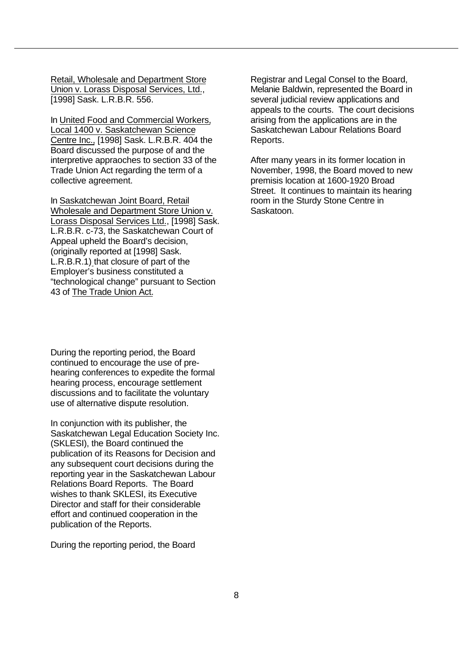Retail, Wholesale and Department Store Union v. Lorass Disposal Services, Ltd., [1998] Sask. L.R.B.R. 556.

In United Food and Commercial Workers, Local 1400 v. Saskatchewan Science Centre Inc., [1998] Sask. L.R.B.R. 404 the Board discussed the purpose of and the interpretive appraoches to section 33 of the Trade Union Act regarding the term of a collective agreement.

In Saskatchewan Joint Board, Retail Wholesale and Department Store Union v. Lorass Disposal Services Ltd., [1998] Sask. L.R.B.R. c-73, the Saskatchewan Court of Appeal upheld the Board's decision, (originally reported at [1998] Sask. L.R.B.R.1) that closure of part of the Employer's business constituted a "technological change" pursuant to Section 43 of The Trade Union Act.

During the reporting period, the Board continued to encourage the use of prehearing conferences to expedite the formal hearing process, encourage settlement discussions and to facilitate the voluntary use of alternative dispute resolution.

In conjunction with its publisher, the Saskatchewan Legal Education Society Inc. (SKLESI), the Board continued the publication of its Reasons for Decision and any subsequent court decisions during the reporting year in the Saskatchewan Labour Relations Board Reports. The Board wishes to thank SKLESI, its Executive Director and staff for their considerable effort and continued cooperation in the publication of the Reports.

During the reporting period, the Board

Registrar and Legal Consel to the Board, Melanie Baldwin, represented the Board in several judicial review applications and appeals to the courts. The court decisions arising from the applications are in the Saskatchewan Labour Relations Board Reports.

After many years in its former location in November, 1998, the Board moved to new premisis location at 1600-1920 Broad Street. It continues to maintain its hearing room in the Sturdy Stone Centre in Saskatoon.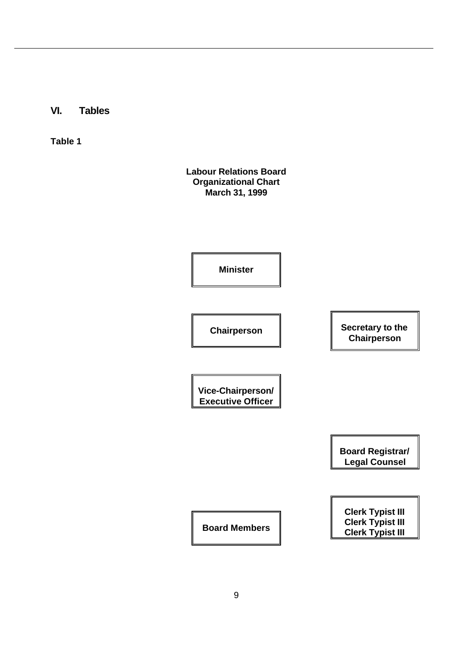**VI. Tables**

**Table 1**

**Labour Relations Board Organizational Chart March 31, 1999**

**Minister**

**Chairperson Secretary to the** 

**Vice-Chairperson/ Executive Officer**

> **Board Registrar/ Legal Counsel**

**Chairperson**

**Clerk Typist III Clerk Typist III Clerk Typist III Board Members**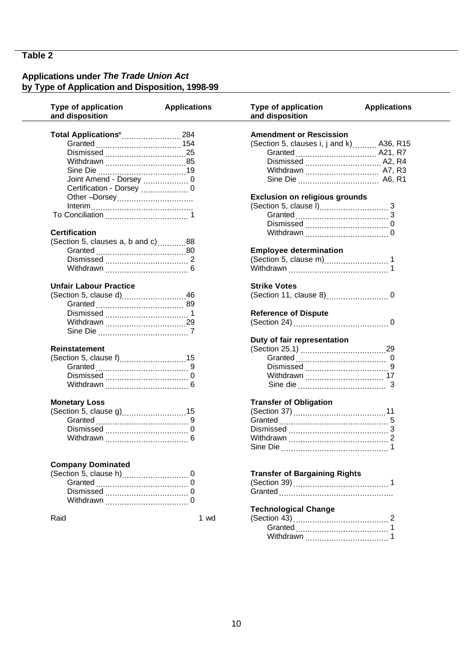## **Applications under** *The Trade Union Act* **by Type of Application and Disposition, 1998-99**

| Type of application<br>and disposition | <b>Applications</b> | <b>Type of application</b><br>and disposition | <b>Applications</b> |
|----------------------------------------|---------------------|-----------------------------------------------|---------------------|
| Total Applications* 284                |                     | <b>Amendment or Rescission</b>                |                     |
|                                        |                     | (Section 5, clauses i, j and k)  A36, R15     |                     |
|                                        |                     |                                               |                     |
|                                        |                     |                                               |                     |
|                                        |                     | Withdrawn  A7, R3                             |                     |
|                                        |                     |                                               |                     |
|                                        |                     |                                               |                     |
| Other -Dorsey                          |                     | <b>Exclusion on religious grounds</b>         |                     |
|                                        |                     |                                               |                     |
|                                        |                     |                                               |                     |
|                                        |                     |                                               |                     |
| <b>Certification</b>                   |                     |                                               |                     |
|                                        |                     |                                               |                     |
| (Section 5, clauses a, b and c)88      |                     |                                               |                     |
|                                        |                     | <b>Employee determination</b>                 |                     |
|                                        |                     |                                               |                     |
|                                        |                     |                                               |                     |
| <b>Unfair Labour Practice</b>          |                     | <b>Strike Votes</b>                           |                     |
| (Section 5, clause d)46                |                     |                                               |                     |
|                                        |                     |                                               |                     |
|                                        |                     | <b>Reference of Dispute</b>                   |                     |
|                                        |                     |                                               |                     |
|                                        |                     |                                               |                     |
|                                        |                     | Duty of fair representation                   |                     |
| <b>Reinstatement</b>                   |                     |                                               |                     |
|                                        |                     |                                               |                     |
|                                        |                     |                                               |                     |
|                                        |                     |                                               |                     |
|                                        |                     |                                               |                     |
|                                        |                     |                                               |                     |
| <b>Monetary Loss</b>                   |                     | <b>Transfer of Obligation</b>                 |                     |
| (Section 5, clause g)15                |                     |                                               |                     |
|                                        |                     |                                               |                     |
|                                        |                     |                                               |                     |
|                                        |                     |                                               |                     |
|                                        |                     | Sine Die                                      |                     |
| <b>Company Dominated</b>               |                     |                                               |                     |
|                                        |                     | <b>Transfer of Bargaining Rights</b>          |                     |
|                                        |                     |                                               |                     |
|                                        |                     |                                               |                     |
|                                        |                     |                                               |                     |
|                                        |                     | <b>Technological Change</b>                   |                     |
| Raid                                   |                     |                                               |                     |
|                                        | 1 wd                |                                               |                     |
|                                        |                     |                                               |                     |
|                                        |                     |                                               |                     |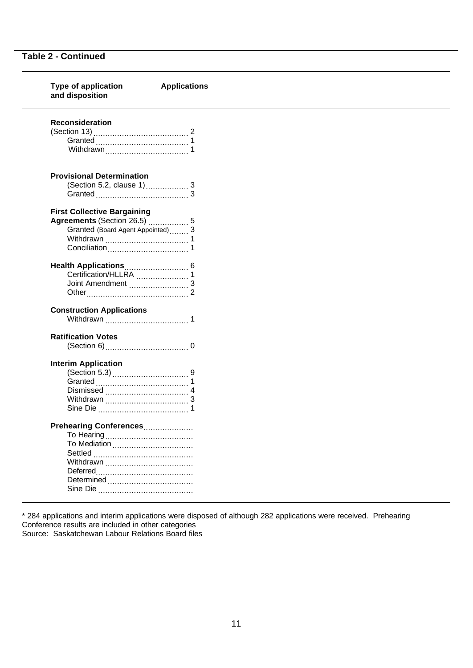| <b>Type of application</b><br>and disposition | <b>Applications</b> |  |
|-----------------------------------------------|---------------------|--|
| <b>Reconsideration</b>                        |                     |  |
|                                               |                     |  |
|                                               |                     |  |
|                                               |                     |  |
| <b>Provisional Determination</b>              |                     |  |
|                                               |                     |  |
|                                               |                     |  |
|                                               |                     |  |
| <b>First Collective Bargaining</b>            |                     |  |
| Agreements (Section 26.5)  5                  |                     |  |
| Granted (Board Agent Appointed) 3             |                     |  |
|                                               |                     |  |
|                                               |                     |  |
|                                               |                     |  |
|                                               |                     |  |
|                                               |                     |  |
|                                               |                     |  |
| <b>Construction Applications</b>              |                     |  |
|                                               |                     |  |
| <b>Ratification Votes</b>                     |                     |  |
|                                               |                     |  |
| <b>Interim Application</b>                    |                     |  |
|                                               |                     |  |
|                                               |                     |  |
|                                               |                     |  |
|                                               |                     |  |
|                                               |                     |  |
| Prehearing Conferences                        |                     |  |
|                                               |                     |  |
|                                               |                     |  |
|                                               |                     |  |
|                                               |                     |  |
|                                               |                     |  |
|                                               |                     |  |
|                                               |                     |  |

\* 284 applications and interim applications were disposed of although 282 applications were received. Prehearing Conference results are included in other categories Source: Saskatchewan Labour Relations Board files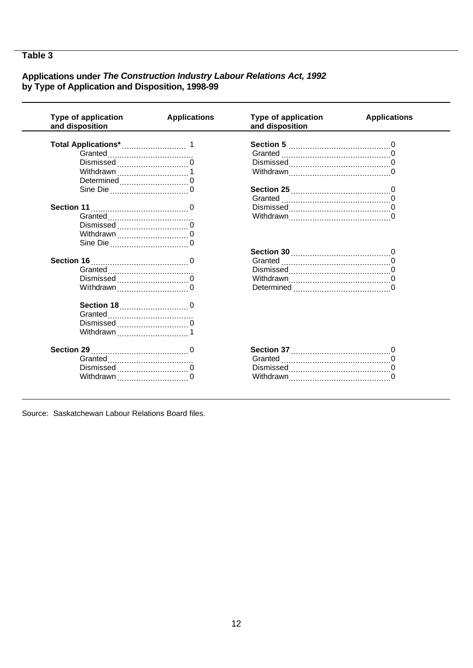$\overline{\phantom{0}}$ 

# Applications under The Construction Industry Labour Relations Act, 1992<br>by Type of Application and Disposition, 1998-99

| <b>Type of application</b><br>and disposition | <b>Applications</b> | Type of application<br>and disposition | <b>Applications</b> |
|-----------------------------------------------|---------------------|----------------------------------------|---------------------|
|                                               |                     |                                        |                     |
|                                               |                     |                                        |                     |
| Dismissed                                     |                     |                                        |                     |
|                                               |                     |                                        |                     |
| Determined                                    |                     |                                        |                     |
|                                               |                     |                                        |                     |
|                                               |                     |                                        |                     |
|                                               |                     |                                        |                     |
|                                               |                     |                                        |                     |
|                                               |                     |                                        |                     |
|                                               |                     |                                        |                     |
|                                               |                     |                                        |                     |
|                                               |                     |                                        |                     |
|                                               |                     |                                        |                     |
|                                               |                     |                                        |                     |
| Dismissed                                     |                     |                                        |                     |
| Withdrawn $\ldots$ 0                          |                     |                                        |                     |
|                                               |                     |                                        |                     |
|                                               |                     |                                        |                     |
| Dismissed                                     |                     |                                        |                     |
| Withdrawn                                     |                     |                                        |                     |
|                                               |                     |                                        |                     |
|                                               |                     |                                        |                     |
| Dismissed                                     |                     |                                        |                     |
|                                               |                     |                                        |                     |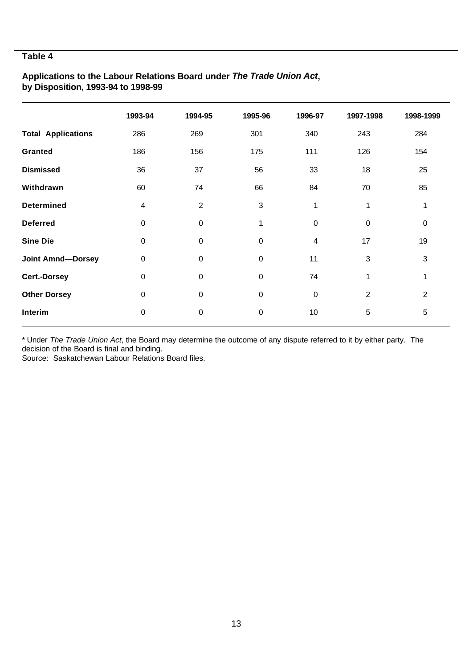# **Applications to the Labour Relations Board under** *The Trade Union Act***, by Disposition, 1993-94 to 1998-99**

|                           | 1993-94          | 1994-95          | 1995-96                   | 1996-97     | 1997-1998      | 1998-1999 |
|---------------------------|------------------|------------------|---------------------------|-------------|----------------|-----------|
| <b>Total Applications</b> | 286              | 269              | 301                       | 340         | 243            | 284       |
| <b>Granted</b>            | 186              | 156              | 175                       | 111         | 126            | 154       |
| <b>Dismissed</b>          | 36               | 37               | 56                        | 33          | 18             | 25        |
| Withdrawn                 | 60               | 74               | 66                        | 84          | 70             | 85        |
| <b>Determined</b>         | 4                | $\overline{2}$   | $\ensuremath{\mathsf{3}}$ | 1           | 1              | 1         |
| <b>Deferred</b>           | $\mathbf 0$      | $\pmb{0}$        | 1                         | $\pmb{0}$   | $\pmb{0}$      | $\pmb{0}$ |
| <b>Sine Die</b>           | $\boldsymbol{0}$ | $\pmb{0}$        | $\pmb{0}$                 | 4           | 17             | 19        |
| <b>Joint Amnd-Dorsey</b>  | $\boldsymbol{0}$ | $\boldsymbol{0}$ | $\pmb{0}$                 | 11          | 3              | 3         |
| Cert.-Dorsey              | $\boldsymbol{0}$ | $\boldsymbol{0}$ | $\mathbf 0$               | 74          | $\mathbf{1}$   | 1         |
| <b>Other Dorsey</b>       | $\mathbf 0$      | $\boldsymbol{0}$ | $\mathbf 0$               | $\mathbf 0$ | $\overline{2}$ | 2         |
| Interim                   | $\mathbf 0$      | $\boldsymbol{0}$ | $\pmb{0}$                 | 10          | 5              | 5         |

\* Under *The Trade Union Act*, the Board may determine the outcome of any dispute referred to it by either party. The decision of the Board is final and binding.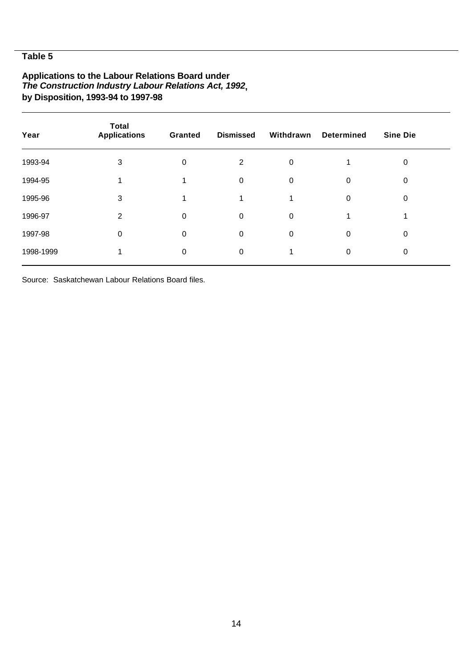# **Applications to the Labour Relations Board under** *The Construction Industry Labour Relations Act, 1992***, by Disposition, 1993-94 to 1997-98**

| Year      | <b>Total</b><br><b>Applications</b> | <b>Granted</b> | <b>Dismissed</b> | Withdrawn   | <b>Determined</b> | <b>Sine Die</b> |  |
|-----------|-------------------------------------|----------------|------------------|-------------|-------------------|-----------------|--|
| 1993-94   | 3                                   | 0              | 2                | 0           |                   | 0               |  |
| 1994-95   |                                     |                | 0                | $\mathbf 0$ | $\Omega$          | 0               |  |
| 1995-96   | 3                                   |                |                  |             | $\Omega$          | 0               |  |
| 1996-97   | 2                                   | 0              | 0                | 0           |                   |                 |  |
| 1997-98   | 0                                   | 0              | 0                | $\Omega$    | $\Omega$          | $\Omega$        |  |
| 1998-1999 |                                     | 0              | 0                |             | 0                 | $\Omega$        |  |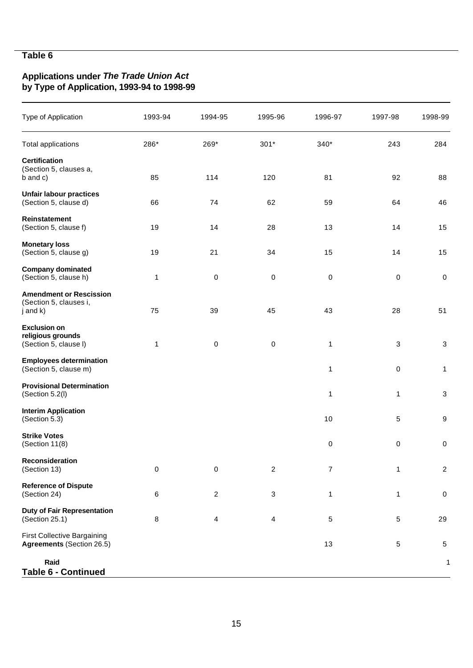# **Applications under** *The Trade Union Act* **by Type of Application, 1993-94 to 1998-99**

| Type of Application                                                    | 1993-94   | 1994-95        | 1995-96        | 1996-97                  | 1997-98    | 1998-99          |
|------------------------------------------------------------------------|-----------|----------------|----------------|--------------------------|------------|------------------|
| <b>Total applications</b>                                              | 286*      | 269*           | $301*$         | 340*                     | 243        | 284              |
| <b>Certification</b><br>(Section 5, clauses a,<br>b and c)             | 85        | 114            | 120            | 81                       | 92         | 88               |
| <b>Unfair labour practices</b><br>(Section 5, clause d)                | 66        | 74             | 62             | 59                       | 64         | 46               |
| Reinstatement<br>(Section 5, clause f)                                 | 19        | 14             | 28             | 13                       | 14         | 15               |
| <b>Monetary loss</b><br>(Section 5, clause g)                          | 19        | 21             | 34             | 15                       | 14         | 15               |
| <b>Company dominated</b><br>(Section 5, clause h)                      | 1         | $\pmb{0}$      | $\pmb{0}$      | 0                        | $\pmb{0}$  | $\pmb{0}$        |
| <b>Amendment or Rescission</b><br>(Section 5, clauses i,<br>j and k)   | 75        | 39             | 45             | 43                       | 28         | 51               |
| <b>Exclusion on</b><br>religious grounds<br>(Section 5, clause I)      | 1         | $\pmb{0}$      | $\pmb{0}$      | $\mathbf{1}$             | $\sqrt{3}$ | $\sqrt{3}$       |
| <b>Employees determination</b><br>(Section 5, clause m)                |           |                |                | 1                        | 0          | $\mathbf{1}$     |
| <b>Provisional Determination</b><br>(Section 5.2(I)                    |           |                |                | 1                        | 1          | 3                |
| <b>Interim Application</b><br>(Section 5.3)                            |           |                |                | $10$                     | 5          | $\boldsymbol{9}$ |
| <b>Strike Votes</b><br>(Section $11(8)$                                |           |                |                | 0                        | 0          | $\pmb{0}$        |
| Reconsideration<br>(Section 13)                                        | $\pmb{0}$ | 0              | $\overline{c}$ | $\overline{\mathcal{I}}$ | 1          | $\overline{c}$   |
| <b>Reference of Dispute</b><br>(Section 24)                            | 6         | $\overline{c}$ | 3              | 1                        | 1          | $\pmb{0}$        |
| <b>Duty of Fair Representation</b><br>(Section 25.1)                   | 8         | 4              | 4              | 5                        | 5          | 29               |
| <b>First Collective Bargaining</b><br><b>Agreements (Section 26.5)</b> |           |                |                | 13                       | 5          | $\,$ 5 $\,$      |
| Raid<br>Table 6 - Continued                                            |           |                |                |                          |            | 1                |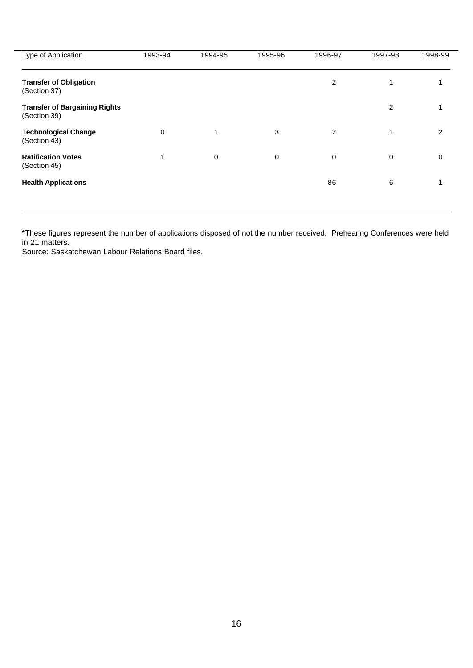| Type of Application                                  | 1993-94     | 1994-95     | 1995-96 | 1996-97        | 1997-98        | 1998-99        |
|------------------------------------------------------|-------------|-------------|---------|----------------|----------------|----------------|
| <b>Transfer of Obligation</b><br>(Section 37)        |             |             |         | $\overline{2}$ | 1              |                |
| <b>Transfer of Bargaining Rights</b><br>(Section 39) |             |             |         |                | $\overline{2}$ |                |
| <b>Technological Change</b><br>(Section 43)          | $\mathbf 0$ | $\mathbf 1$ | 3       | 2              | 1              | $\mathfrak{p}$ |
| <b>Ratification Votes</b><br>(Section 45)            | 1           | $\mathbf 0$ | 0       | 0              | 0              | 0              |
| <b>Health Applications</b>                           |             |             |         | 86             | 6              | 1              |
|                                                      |             |             |         |                |                |                |

\*These figures represent the number of applications disposed of not the number received. Prehearing Conferences were held in 21 matters.